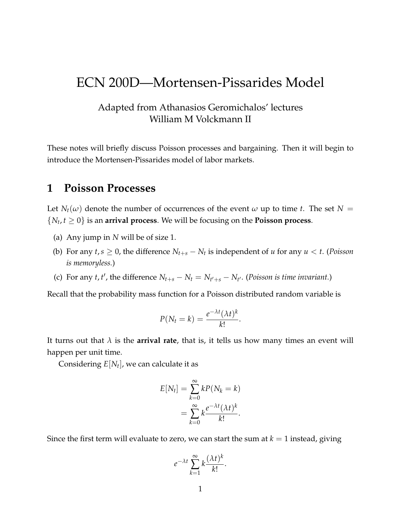# ECN 200D—Mortensen-Pissarides Model

### Adapted from Athanasios Geromichalos' lectures William M Volckmann II

These notes will briefly discuss Poisson processes and bargaining. Then it will begin to introduce the Mortensen-Pissarides model of labor markets.

# **1 Poisson Processes**

Let  $N_t(\omega)$  denote the number of occurrences of the event  $\omega$  up to time *t*. The set  $N =$  $\{N_t, t \geq 0\}$  is an **arrival process**. We will be focusing on the **Poisson process**.

- (a) Any jump in *N* will be of size 1.
- (b) For any  $t, s \geq 0$ , the difference  $N_{t+s} N_t$  is independent of *u* for any  $u < t$ . (*Poisson*) *is memoryless.*)
- (c) For any *t*, *t'*, the difference  $N_{t+s} N_t = N_{t'+s} N_{t'}$ . (Poisson is time invariant.)

Recall that the probability mass function for a Poisson distributed random variable is

$$
P(N_t = k) = \frac{e^{-\lambda t} (\lambda t)^k}{k!}.
$$

It turns out that  $\lambda$  is the **arrival rate**, that is, it tells us how many times an event will happen per unit time.

Considering *E*[*N<sup>t</sup>* ], we can calculate it as

$$
E[N_t] = \sum_{k=0}^{\infty} kP(N_k = k)
$$
  
= 
$$
\sum_{k=0}^{\infty} k \frac{e^{-\lambda t} (\lambda t)^k}{k!}.
$$

Since the first term will evaluate to zero, we can start the sum at  $k = 1$  instead, giving

$$
e^{-\lambda t} \sum_{k=1}^{\infty} k \frac{(\lambda t)^k}{k!}.
$$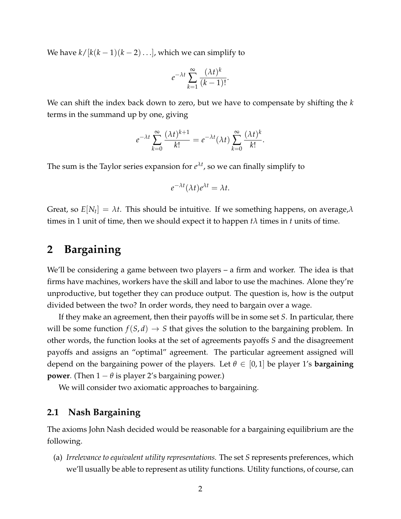We have  $k/[k(k-1)(k-2)...]$ , which we can simplify to

$$
e^{-\lambda t} \sum_{k=1}^{\infty} \frac{(\lambda t)^k}{(k-1)!}.
$$

We can shift the index back down to zero, but we have to compensate by shifting the *k* terms in the summand up by one, giving

$$
e^{-\lambda t} \sum_{k=0}^{\infty} \frac{(\lambda t)^{k+1}}{k!} = e^{-\lambda t} (\lambda t) \sum_{k=0}^{\infty} \frac{(\lambda t)^k}{k!}.
$$

The sum is the Taylor series expansion for *e λt* , so we can finally simplify to

$$
e^{-\lambda t}(\lambda t)e^{\lambda t}=\lambda t.
$$

Great, so *E*[*N<sup>t</sup>* ] = *λt*. This should be intuitive. If we something happens, on average,*λ* times in 1 unit of time, then we should expect it to happen  $t\lambda$  times in  $t$  units of time.

# **2 Bargaining**

We'll be considering a game between two players – a firm and worker. The idea is that firms have machines, workers have the skill and labor to use the machines. Alone they're unproductive, but together they can produce output. The question is, how is the output divided between the two? In order words, they need to bargain over a wage.

If they make an agreement, then their payoffs will be in some set *S*. In particular, there will be some function  $f(S, d) \to S$  that gives the solution to the bargaining problem. In other words, the function looks at the set of agreements payoffs *S* and the disagreement payoffs and assigns an "optimal" agreement. The particular agreement assigned will depend on the bargaining power of the players. Let  $\theta \in [0,1]$  be player 1's **bargaining power**. (Then  $1 - \theta$  is player 2's bargaining power.)

We will consider two axiomatic approaches to bargaining.

### **2.1 Nash Bargaining**

The axioms John Nash decided would be reasonable for a bargaining equilibrium are the following.

(a) *Irrelevance to equivalent utility representations.* The set *S* represents preferences, which we'll usually be able to represent as utility functions. Utility functions, of course, can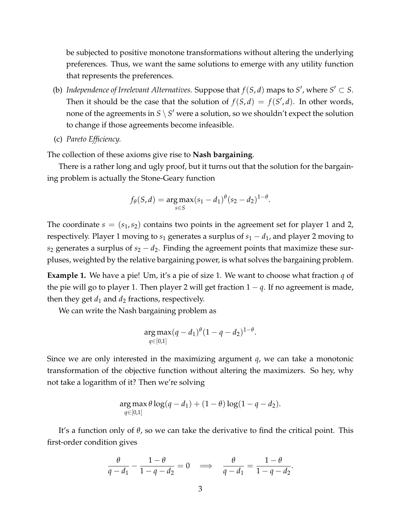be subjected to positive monotone transformations without altering the underlying preferences. Thus, we want the same solutions to emerge with any utility function that represents the preferences.

- (b) *Independence of Irrelevant Alternatives.* Suppose that  $f(S, d)$  maps to  $S'$ , where  $S' \subset S$ . Then it should be the case that the solution of  $f(S, d) = f(S', d)$ . In other words, none of the agreements in  $S \setminus S'$  were a solution, so we shouldn't expect the solution to change if those agreements become infeasible.
- (c) *Pareto Efficiency.*

The collection of these axioms give rise to **Nash bargaining**.

There is a rather long and ugly proof, but it turns out that the solution for the bargaining problem is actually the Stone-Geary function

$$
f_{\theta}(S, d) = \underset{s \in S}{\arg \max} (s_1 - d_1)^{\theta} (s_2 - d_2)^{1-\theta}.
$$

The coordinate  $s = (s_1, s_2)$  contains two points in the agreement set for player 1 and 2, respectively. Player 1 moving to  $s_1$  generates a surplus of  $s_1 - d_1$ , and player 2 moving to  $s_2$  generates a surplus of  $s_2 - d_2$ . Finding the agreement points that maximize these surpluses, weighted by the relative bargaining power, is what solves the bargaining problem.

**Example 1.** We have a pie! Um, it's a pie of size 1. We want to choose what fraction *q* of the pie will go to player 1. Then player 2 will get fraction  $1 - q$ . If no agreement is made, then they get  $d_1$  and  $d_2$  fractions, respectively.

We can write the Nash bargaining problem as

$$
\arg \max_{q \in [0,1]} (q-d_1)^{\theta} (1-q-d_2)^{1-\theta}.
$$

Since we are only interested in the maximizing argument *q*, we can take a monotonic transformation of the objective function without altering the maximizers. So hey, why not take a logarithm of it? Then we're solving

$$
\arg\max_{q\in[0,1]} \theta \log(q-d_1) + (1-\theta) \log(1-q-d_2).
$$

It's a function only of *θ*, so we can take the derivative to find the critical point. This first-order condition gives

$$
\frac{\theta}{q-d_1}-\frac{1-\theta}{1-q-d_2}=0 \quad \Longrightarrow \quad \frac{\theta}{q-d_1}=\frac{1-\theta}{1-q-d_2}.
$$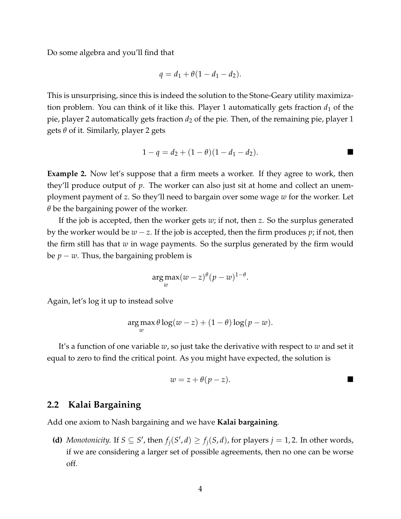Do some algebra and you'll find that

$$
q=d_1+\theta(1-d_1-d_2).
$$

This is unsurprising, since this is indeed the solution to the Stone-Geary utility maximization problem. You can think of it like this. Player 1 automatically gets fraction  $d_1$  of the pie, player 2 automatically gets fraction  $d_2$  of the pie. Then, of the remaining pie, player 1 gets *θ* of it. Similarly, player 2 gets

$$
1 - q = d_2 + (1 - \theta)(1 - d_1 - d_2).
$$

**Example 2.** Now let's suppose that a firm meets a worker. If they agree to work, then they'll produce output of *p*. The worker can also just sit at home and collect an unemployment payment of *z*. So they'll need to bargain over some wage *w* for the worker. Let *θ* be the bargaining power of the worker.

If the job is accepted, then the worker gets *w*; if not, then *z*. So the surplus generated by the worker would be *w* − *z*. If the job is accepted, then the firm produces *p*; if not, then the firm still has that *w* in wage payments. So the surplus generated by the firm would be  $p - w$ . Thus, the bargaining problem is

$$
\underset{w}{\arg \max} (w-z)^{\theta} (p-w)^{1-\theta}.
$$

Again, let's log it up to instead solve

$$
\argmax_{w} \theta \log(w - z) + (1 - \theta) \log(p - w).
$$

It's a function of one variable *w*, so just take the derivative with respect to *w* and set it equal to zero to find the critical point. As you might have expected, the solution is

$$
w=z+\theta(p-z).
$$

### **2.2 Kalai Bargaining**

Add one axiom to Nash bargaining and we have **Kalai bargaining**.

**(d)** *Monotonicity.* If  $S \subseteq S'$ , then  $f_j(S', d) \ge f_j(S, d)$ , for players  $j = 1, 2$ . In other words, if we are considering a larger set of possible agreements, then no one can be worse off.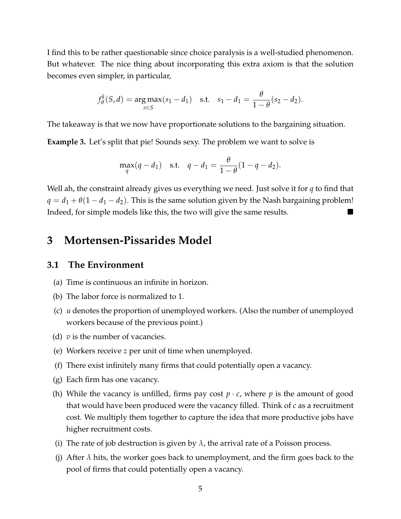I find this to be rather questionable since choice paralysis is a well-studied phenomenon. But whatever. The nice thing about incorporating this extra axiom is that the solution becomes even simpler, in particular,

$$
f_{\theta}^{k}(S, d) = \underset{s \in S}{\arg \max}(s_1 - d_1) \quad \text{s.t.} \quad s_1 - d_1 = \frac{\theta}{1 - \theta}(s_2 - d_2).
$$

The takeaway is that we now have proportionate solutions to the bargaining situation.

**Example 3.** Let's split that pie! Sounds sexy. The problem we want to solve is

$$
\max_{q}(q - d_1) \quad \text{s.t.} \quad q - d_1 = \frac{\theta}{1 - \theta}(1 - q - d_2).
$$

Well ah, the constraint already gives us everything we need. Just solve it for *q* to find that  $q = d_1 + \theta(1 - d_1 - d_2)$ . This is the same solution given by the Nash bargaining problem! Indeed, for simple models like this, the two will give the same results.

# **3 Mortensen-Pissarides Model**

### **3.1 The Environment**

- (a) Time is continuous an infinite in horizon.
- (b) The labor force is normalized to 1.
- (c) *u* denotes the proportion of unemployed workers. (Also the number of unemployed workers because of the previous point.)
- (d) *v* is the number of vacancies.
- (e) Workers receive *z* per unit of time when unemployed.
- (f) There exist infinitely many firms that could potentially open a vacancy.
- (g) Each firm has one vacancy.
- (h) While the vacancy is unfilled, firms pay cost  $p \cdot c$ , where p is the amount of good that would have been produced were the vacancy filled. Think of *c* as a recruitment cost. We multiply them together to capture the idea that more productive jobs have higher recruitment costs.
- (i) The rate of job destruction is given by  $\lambda$ , the arrival rate of a Poisson process.
- (j) After  $\lambda$  hits, the worker goes back to unemployment, and the firm goes back to the pool of firms that could potentially open a vacancy.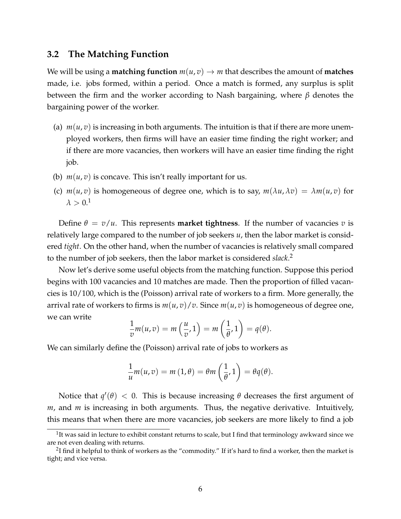### **3.2 The Matching Function**

We will be using a **matching function**  $m(u, v) \rightarrow m$  that describes the amount of **matches** made, i.e. jobs formed, within a period. Once a match is formed, any surplus is split between the firm and the worker according to Nash bargaining, where *β* denotes the bargaining power of the worker.

- (a)  $m(u, v)$  is increasing in both arguments. The intuition is that if there are more unemployed workers, then firms will have an easier time finding the right worker; and if there are more vacancies, then workers will have an easier time finding the right job.
- (b)  $m(u, v)$  is concave. This isn't really important for us.
- (c)  $m(u, v)$  is homogeneous of degree one, which is to say,  $m(\lambda u, \lambda v) = \lambda m(u, v)$  for  $\lambda > 0.1$

Define  $\theta = v/u$ . This represents **market tightness**. If the number of vacancies *v* is relatively large compared to the number of job seekers *u*, then the labor market is considered *tight*. On the other hand, when the number of vacancies is relatively small compared to the number of job seekers, then the labor market is considered *slack*. 2

Now let's derive some useful objects from the matching function. Suppose this period begins with 100 vacancies and 10 matches are made. Then the proportion of filled vacancies is 10/100, which is the (Poisson) arrival rate of workers to a firm. More generally, the arrival rate of workers to firms is  $m(u, v)/v$ . Since  $m(u, v)$  is homogeneous of degree one, we can write

$$
\frac{1}{v}m(u,v)=m\left(\frac{u}{v},1\right)=m\left(\frac{1}{\theta},1\right)=q(\theta).
$$

We can similarly define the (Poisson) arrival rate of jobs to workers as

$$
\frac{1}{u}m(u,v)=m(1,\theta)=\theta m\left(\frac{1}{\theta},1\right)=\theta q(\theta).
$$

Notice that  $q'(\theta) < 0$ . This is because increasing  $\theta$  decreases the first argument of *m*, and *m* is increasing in both arguments. Thus, the negative derivative. Intuitively, this means that when there are more vacancies, job seekers are more likely to find a job

 $1$ It was said in lecture to exhibit constant returns to scale, but I find that terminology awkward since we are not even dealing with returns.

 $^2$ I find it helpful to think of workers as the "commodity." If it's hard to find a worker, then the market is tight; and vice versa.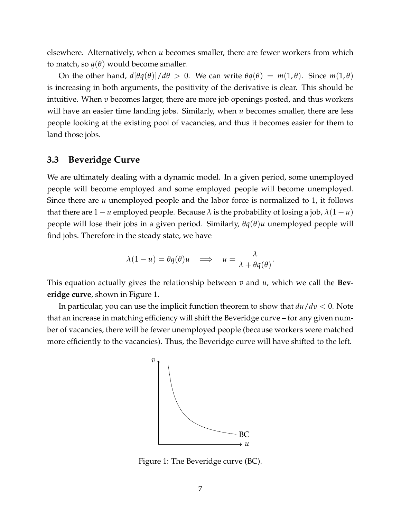elsewhere. Alternatively, when *u* becomes smaller, there are fewer workers from which to match, so  $q(\theta)$  would become smaller.

On the other hand,  $d[\theta q(\theta)]/d\theta > 0$ . We can write  $\theta q(\theta) = m(1, \theta)$ . Since  $m(1, \theta)$ is increasing in both arguments, the positivity of the derivative is clear. This should be intuitive. When *v* becomes larger, there are more job openings posted, and thus workers will have an easier time landing jobs. Similarly, when *u* becomes smaller, there are less people looking at the existing pool of vacancies, and thus it becomes easier for them to land those jobs.

#### **3.3 Beveridge Curve**

We are ultimately dealing with a dynamic model. In a given period, some unemployed people will become employed and some employed people will become unemployed. Since there are *u* unemployed people and the labor force is normalized to 1, it follows that there are  $1 - u$  employed people. Because  $\lambda$  is the probability of losing a job,  $\lambda(1 - u)$ people will lose their jobs in a given period. Similarly, *θq*(*θ*)*u* unemployed people will find jobs. Therefore in the steady state, we have

$$
\lambda(1-u) = \theta q(\theta)u \implies u = \frac{\lambda}{\lambda + \theta q(\theta)}.
$$

This equation actually gives the relationship between *v* and *u*, which we call the **Beveridge curve**, shown in Figure 1.

In particular, you can use the implicit function theorem to show that *du*/*dv* < 0. Note that an increase in matching efficiency will shift the Beveridge curve – for any given number of vacancies, there will be fewer unemployed people (because workers were matched more efficiently to the vacancies). Thus, the Beveridge curve will have shifted to the left.



Figure 1: The Beveridge curve (BC).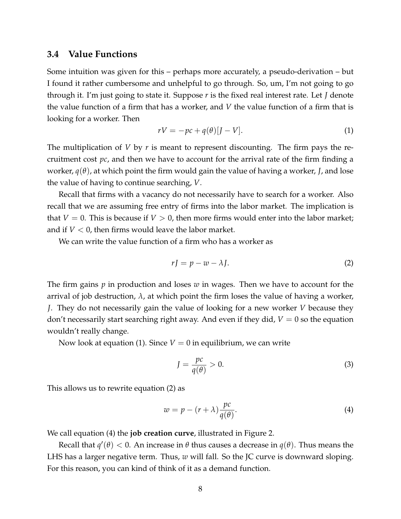### **3.4 Value Functions**

Some intuition was given for this – perhaps more accurately, a pseudo-derivation – but I found it rather cumbersome and unhelpful to go through. So, um, I'm not going to go through it. I'm just going to state it. Suppose *r* is the fixed real interest rate. Let *J* denote the value function of a firm that has a worker, and *V* the value function of a firm that is looking for a worker. Then

$$
rV = -pc + q(\theta)[J - V].
$$
\n(1)

The multiplication of *V* by *r* is meant to represent discounting. The firm pays the recruitment cost *pc*, and then we have to account for the arrival rate of the firm finding a worker, *q*(*θ*), at which point the firm would gain the value of having a worker, *J*, and lose the value of having to continue searching, *V*.

Recall that firms with a vacancy do not necessarily have to search for a worker. Also recall that we are assuming free entry of firms into the labor market. The implication is that  $V = 0$ . This is because if  $V > 0$ , then more firms would enter into the labor market; and if  $V < 0$ , then firms would leave the labor market.

We can write the value function of a firm who has a worker as

$$
rJ = p - w - \lambda J.
$$
 (2)

The firm gains *p* in production and loses *w* in wages. Then we have to account for the arrival of job destruction,  $\lambda$ , at which point the firm loses the value of having a worker, *J*. They do not necessarily gain the value of looking for a new worker *V* because they don't necessarily start searching right away. And even if they did,  $V = 0$  so the equation wouldn't really change.

Now look at equation (1). Since  $V = 0$  in equilibrium, we can write

$$
J = \frac{pc}{q(\theta)} > 0.
$$
 (3)

This allows us to rewrite equation (2) as

$$
w = p - (r + \lambda) \frac{pc}{q(\theta)}.
$$
\n(4)

We call equation (4) the **job creation curve**, illustrated in Figure 2.

Recall that  $q'(\theta) < 0$ . An increase in  $\theta$  thus causes a decrease in  $q(\theta)$ . Thus means the LHS has a larger negative term. Thus, *w* will fall. So the JC curve is downward sloping. For this reason, you can kind of think of it as a demand function.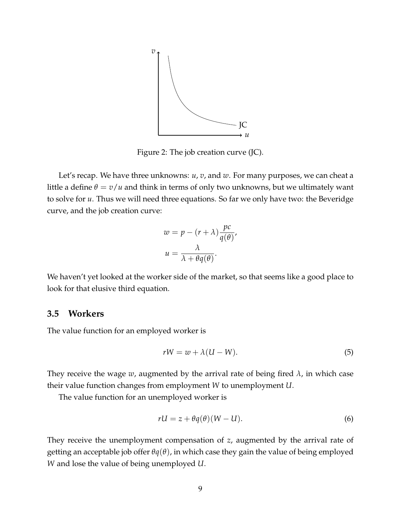

Figure 2: The job creation curve (JC).

Let's recap. We have three unknowns: *u*, *v*, and *w*. For many purposes, we can cheat a little a define  $\theta = v/u$  and think in terms of only two unknowns, but we ultimately want to solve for *u*. Thus we will need three equations. So far we only have two: the Beveridge curve, and the job creation curve:

$$
w = p - (r + \lambda) \frac{pc}{q(\theta)},
$$
  

$$
u = \frac{\lambda}{\lambda + \theta q(\theta)}.
$$

We haven't yet looked at the worker side of the market, so that seems like a good place to look for that elusive third equation.

### **3.5 Workers**

The value function for an employed worker is

$$
rW = w + \lambda (U - W). \tag{5}
$$

They receive the wage *w*, augmented by the arrival rate of being fired *λ*, in which case their value function changes from employment *W* to unemployment *U*.

The value function for an unemployed worker is

$$
rU = z + \theta q(\theta)(W - U).
$$
 (6)

They receive the unemployment compensation of *z*, augmented by the arrival rate of getting an acceptable job offer *θq*(*θ*), in which case they gain the value of being employed *W* and lose the value of being unemployed *U*.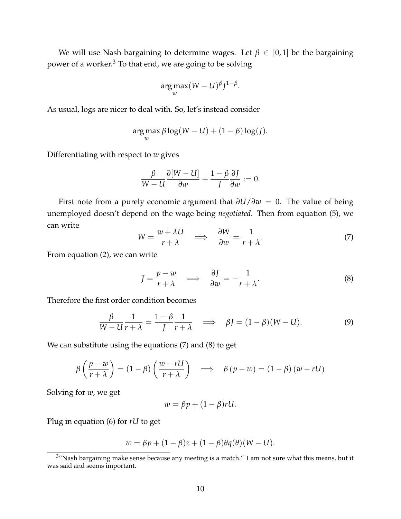We will use Nash bargaining to determine wages. Let  $\beta \in [0,1]$  be the bargaining power of a worker.<sup>3</sup> To that end, we are going to be solving

$$
\arg\max_{w}(W-U)^{\beta}J^{1-\beta}.
$$

As usual, logs are nicer to deal with. So, let's instead consider

$$
\argmax_{w} \beta \log(W - U) + (1 - \beta) \log(J).
$$

Differentiating with respect to *w* gives

$$
\frac{\beta}{W-U}\frac{\partial[W-U]}{\partial w}+\frac{1-\beta}{J}\frac{\partial J}{\partial w}:=0.
$$

First note from a purely economic argument that *∂U*/*∂w* = 0. The value of being unemployed doesn't depend on the wage being *negotiated*. Then from equation (5), we can write

$$
W = \frac{w + \lambda U}{r + \lambda} \quad \Longrightarrow \quad \frac{\partial W}{\partial w} = \frac{1}{r + \lambda}.\tag{7}
$$

From equation (2), we can write

$$
J = \frac{p - w}{r + \lambda} \quad \Longrightarrow \quad \frac{\partial J}{\partial w} = -\frac{1}{r + \lambda}.
$$

Therefore the first order condition becomes

$$
\frac{\beta}{W - U} \frac{1}{r + \lambda} = \frac{1 - \beta}{J} \frac{1}{r + \lambda} \quad \Longrightarrow \quad \beta J = (1 - \beta)(W - U). \tag{9}
$$

We can substitute using the equations (7) and (8) to get

$$
\beta\left(\frac{p-w}{r+\lambda}\right) = (1-\beta)\left(\frac{w-rU}{r+\lambda}\right) \implies \beta(p-w) = (1-\beta)(w-rU)
$$

Solving for *w*, we get

$$
w = \beta p + (1 - \beta) r U.
$$

Plug in equation (6) for *rU* to get

$$
w = \beta p + (1 - \beta)z + (1 - \beta)\theta q(\theta)(W - U).
$$

<sup>&</sup>lt;sup>3</sup>"Nash bargaining make sense because any meeting is a match." I am not sure what this means, but it was said and seems important.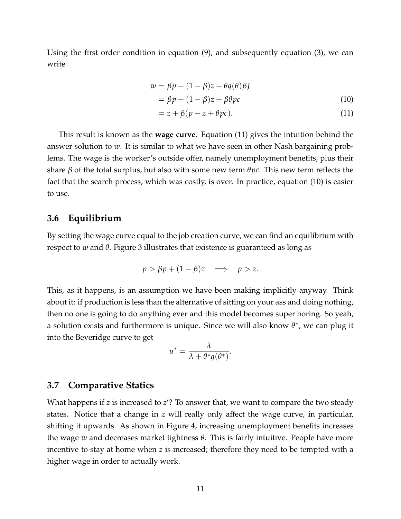Using the first order condition in equation (9), and subsequently equation (3), we can write

$$
w = \beta p + (1 - \beta)z + \theta q(\theta)\beta J
$$

$$
= \beta p + (1 - \beta)z + \beta \theta p c \tag{10}
$$

$$
= z + \beta (p - z + \theta pc). \tag{11}
$$

This result is known as the **wage curve**. Equation (11) gives the intuition behind the answer solution to *w*. It is similar to what we have seen in other Nash bargaining problems. The wage is the worker's outside offer, namely unemployment benefits, plus their share *β* of the total surplus, but also with some new term *θpc*. This new term reflects the fact that the search process, which was costly, is over. In practice, equation (10) is easier to use.

### **3.6 Equilibrium**

By setting the wage curve equal to the job creation curve, we can find an equilibrium with respect to *w* and *θ*. Figure 3 illustrates that existence is guaranteed as long as

$$
p > \beta p + (1 - \beta)z \implies p > z.
$$

This, as it happens, is an assumption we have been making implicitly anyway. Think about it: if production is less than the alternative of sitting on your ass and doing nothing, then no one is going to do anything ever and this model becomes super boring. So yeah, a solution exists and furthermore is unique. Since we will also know *θ* ∗ , we can plug it into the Beveridge curve to get

$$
u^* = \frac{\lambda}{\lambda + \theta^* q(\theta^*)}.
$$

#### **3.7 Comparative Statics**

What happens if *z* is increased to *z*'? To answer that, we want to compare the two steady states. Notice that a change in *z* will really only affect the wage curve, in particular, shifting it upwards. As shown in Figure 4, increasing unemployment benefits increases the wage *w* and decreases market tightness *θ*. This is fairly intuitive. People have more incentive to stay at home when *z* is increased; therefore they need to be tempted with a higher wage in order to actually work.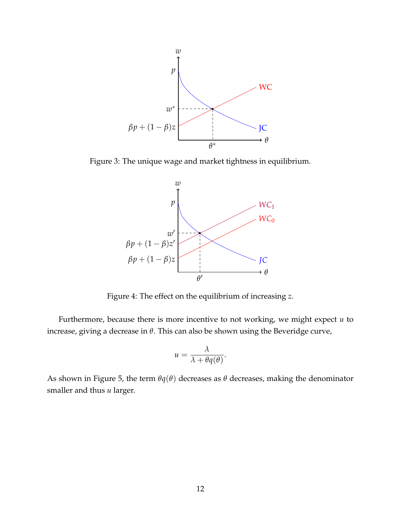

Figure 3: The unique wage and market tightness in equilibrium.



Figure 4: The effect on the equilibrium of increasing *z*.

Furthermore, because there is more incentive to not working, we might expect *u* to increase, giving a decrease in *θ*. This can also be shown using the Beveridge curve,

$$
u=\frac{\lambda}{\lambda+\theta q(\theta)}.
$$

As shown in Figure 5, the term  $\theta$ *q*( $\theta$ ) decreases as  $\theta$  decreases, making the denominator smaller and thus *u* larger.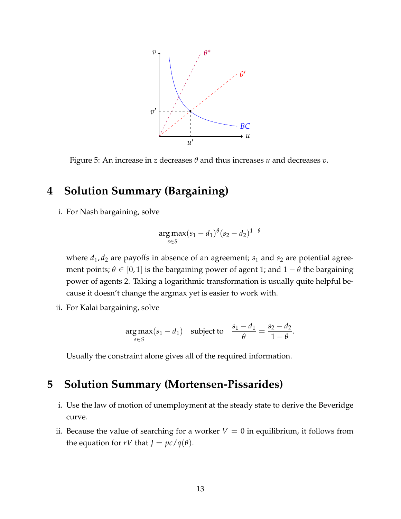

Figure 5: An increase in *z* decreases *θ* and thus increases *u* and decreases *v*.

# **4 Solution Summary (Bargaining)**

i. For Nash bargaining, solve

$$
\arg \max_{s \in S} (s_1 - d_1)^{\theta} (s_2 - d_2)^{1 - \theta}
$$

where  $d_1$ ,  $d_2$  are payoffs in absence of an agreement;  $s_1$  and  $s_2$  are potential agreement points;  $\theta \in [0, 1]$  is the bargaining power of agent 1; and  $1 - \theta$  the bargaining power of agents 2. Taking a logarithmic transformation is usually quite helpful because it doesn't change the argmax yet is easier to work with.

ii. For Kalai bargaining, solve

$$
\underset{s\in S}{\arg\max}(s_1 - d_1) \quad \text{subject to} \quad \frac{s_1 - d_1}{\theta} = \frac{s_2 - d_2}{1 - \theta}.
$$

Usually the constraint alone gives all of the required information.

## **5 Solution Summary (Mortensen-Pissarides)**

- i. Use the law of motion of unemployment at the steady state to derive the Beveridge curve.
- ii. Because the value of searching for a worker  $V = 0$  in equilibrium, it follows from the equation for *rV* that  $J = pc/q(\theta)$ .